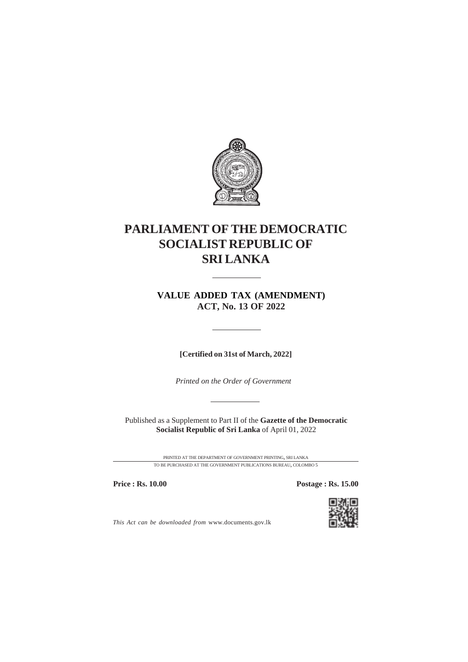

## **PARLIAMENT OF THE DEMOCRATIC SOCIALIST REPUBLIC OF SRI LANKA**

**VALUE ADDED TAX (AMENDMENT) ACT, No. 13 OF 2022**

**[Certified on 31st of March, 2022]**

*Printed on the Order of Government*

Published as a Supplement to Part II of the **Gazette of the Democratic Socialist Republic of Sri Lanka** of April 01, 2022

> PRINTED AT THE DEPARTMENT OF GOVERNMENT PRINTING, SRI LANKA TO BE PURCHASED AT THE GOVERNMENT PUBLICATIONS BUREAU, COLOMBO 5

**Price : Rs. 10.00 Postage : Rs. 15.00** 



*This Act can be downloaded from* www.documents.gov.lk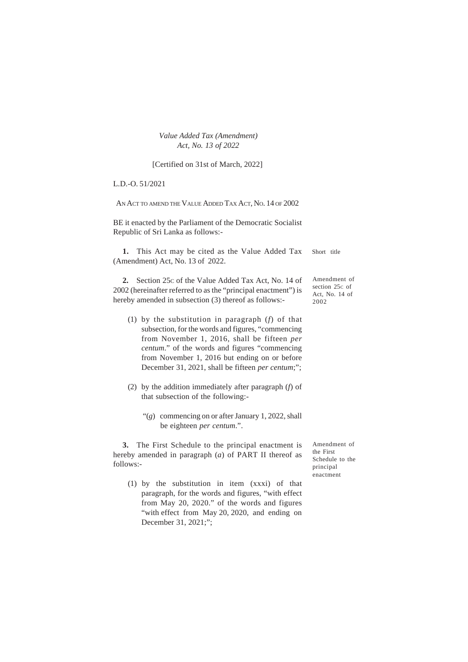*Value Added Tax (Amendment) Act, No. 13 of 2022*

[Certified on 31st of March, 2022]

L.D.-O. 51/2021

AN ACT TO AMEND THE VALUE ADDED TAX ACT, NO. 14 OF 2002

BE it enacted by the Parliament of the Democratic Socialist Republic of Sri Lanka as follows:-

**1.** This Act may be cited as the Value Added Tax (Amendment) Act, No. 13 of 2022. Short title

**2.** Section 25c of the Value Added Tax Act, No. 14 of 2002 (hereinafter referred to as the "principal enactment") is hereby amended in subsection (3) thereof as follows:-

- (1) by the substitution in paragraph (*f*) of that subsection, for the words and figures, "commencing from November 1, 2016, shall be fifteen *per centum*." of the words and figures "commencing from November 1, 2016 but ending on or before December 31, 2021, shall be fifteen *per centum*;";
- (2) by the addition immediately after paragraph (*f*) of that subsection of the following:-
	- "(*g*) commencing on or after January 1, 2022, shall be eighteen *per centum*.".

**3.** The First Schedule to the principal enactment is hereby amended in paragraph (*a*) of PART II thereof as follows:-

Amendment of the First Schedule to the principal enactment

Amendment of section 25C of Act, No. 14 of 2002

(1) by the substitution in item (xxxi) of that paragraph, for the words and figures, "with effect from May 20, 2020." of the words and figures "with effect from May 20, 2020, and ending on December 31, 2021;";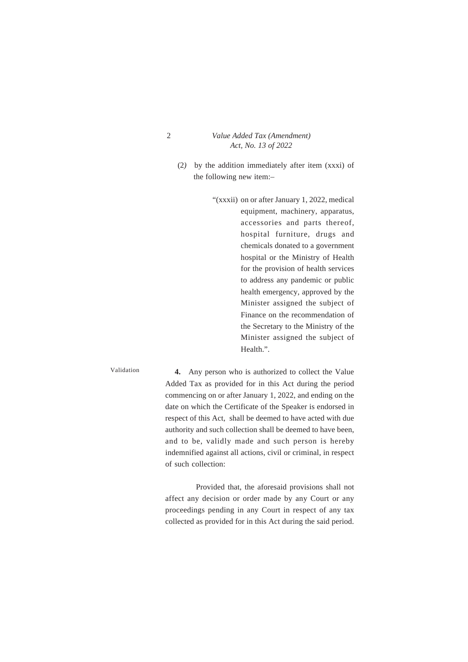2 *Value Added Tax (Amendment) Act, No. 13 of 2022*

- (2*)* by the addition immediately after item (xxxi) of the following new item:–
	- "(xxxii) on or after January 1, 2022, medical equipment, machinery, apparatus, accessories and parts thereof, hospital furniture, drugs and chemicals donated to a government hospital or the Ministry of Health for the provision of health services to address any pandemic or public health emergency, approved by the Minister assigned the subject of Finance on the recommendation of the Secretary to the Ministry of the Minister assigned the subject of Health.".

## Validation

**4.** Any person who is authorized to collect the Value Added Tax as provided for in this Act during the period commencing on or after January 1, 2022, and ending on the date on which the Certificate of the Speaker is endorsed in respect of this Act, shall be deemed to have acted with due authority and such collection shall be deemed to have been, and to be, validly made and such person is hereby indemnified against all actions, civil or criminal, in respect of such collection:

Provided that, the aforesaid provisions shall not affect any decision or order made by any Court or any proceedings pending in any Court in respect of any tax collected as provided for in this Act during the said period.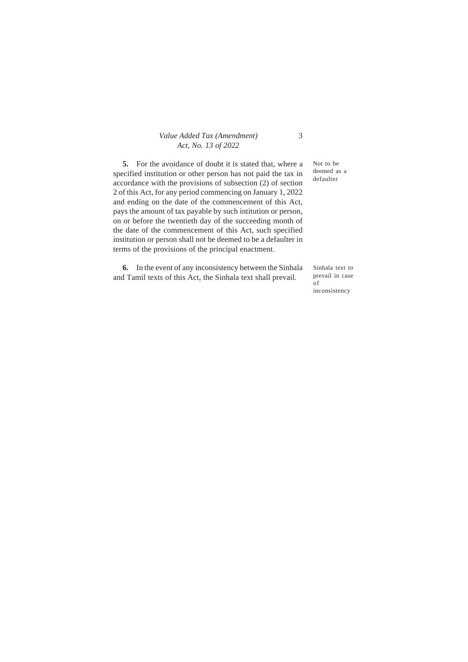## *Value Added Tax (Amendment) Act, No. 13 of 2022*

**5.** For the avoidance of doubt it is stated that, where a specified institution or other person has not paid the tax in accordance with the provisions of subsection (2) of section 2 of this Act, for any period commencing on January 1, 2022 and ending on the date of the commencement of this Act, pays the amount of tax payable by such intitution or person, on or before the twentieth day of the succeeding month of the date of the commencement of this Act, such specified institution or person shall not be deemed to be a defaulter in terms of the provisions of the principal enactment.

**6.** In the event of any inconsistency between the Sinhala and Tamil texts of this Act, the Sinhala text shall prevail.

Not to be deemed as a defaulter

Sinhala text to prevail in case of inconsistency

## 3